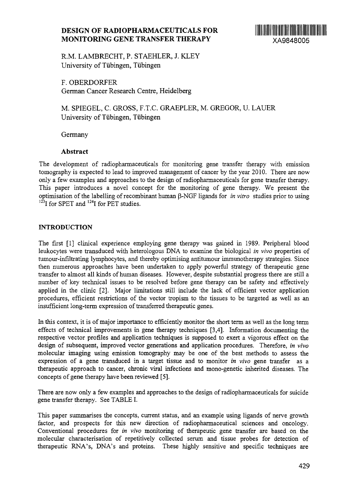# **DESIGN OF RADIOPHARMACEUTICALS FOR MONITORING GENE TRANSFER THERAPY** XA9848005



R.M. LAMBRECHT, P. STAEHLER, J. KLEY University of Tubingen, Tubingen

F. OBERDORFER German Cancer Research Centre, Heidelberg

M. SPIEGEL, C. GROSS, F.T.C. GRAEPLER, M. GREGOR, U. LAUER University of Tubingen, Tubingen

Germany

## **Abstract**

The development of radiopharmaceuticals for monitoring gene transfer therapy with emission tomography is expected to lead to improved management of cancer by the year 2010. There are now only a few examples and approaches to the design of radiopharmaceuticals for gene transfer therapy. This paper introduces a novel concept for the monitoring of gene therapy. We present the optimisation of the labelling of recombinant human P-NGF ligands for *in vitro* studies prior to using <sup>123</sup>I for SPET and <sup>124</sup>I for PET studies.

## **INTRODUCTION**

The first [1] clinical experience employing gene therapy was gained in 1989. Peripheral blood leukocytes were transduced with heterologous DNA to examine the biological *in vivo* properties of tumour-infiltrating lymphocytes, and thereby optimising antitumour imrnunotherapy strategies. Since then numerous approaches have been undertaken to apply powerful strategy of therapeutic gene transfer to almost all kinds of human diseases. However, despite substantial progress there are still a number of key technical issues to be resolved before gene therapy can be safety and effectively applied in the clinic [2]. Major limitations still include the lack of efficient vector application procedures, efficient restrictions of the vector tropism to the tissues to be targeted as well as an insufficient long-term expression of transferred therapeutic genes.

In this context, it is of major importance to efficiently monitor the short term as well as the long term effects of technical improvements in gene therapy techniques [3,4]. Information documenting the respective vector profiles and application techniques is supposed to exert a vigorous effect on the design of subsequent, improved vector generations and application procedures. Therefore, *in vivo* molecular imaging using emission tomography may be one of the best methods to assess the expression of a gene transduced in a target tissue and to monitor *in vivo* gene transfer as a therapeutic approach to cancer, chronic viral infections and mono-genetic inherited diseases. The concepts of gene therapy have been reviewed [5].

There are now only a few examples and approaches to the design of radiopharmaceuticals for suicide gene transfer therapy. See TABLE I.

This paper summarises the concepts, current status, and an example using ligands of nerve growth factor, and prospects for this new direction of radiopharmaceutical sciences and oncology. Conventional procedures for *in vivo* monitoring of therapeutic gene transfer are based on the molecular characterisation of repetitively collected serum and tissue probes for detection of therapeutic RNA's, DNA's and proteins. These highly sensitive and specific techniques are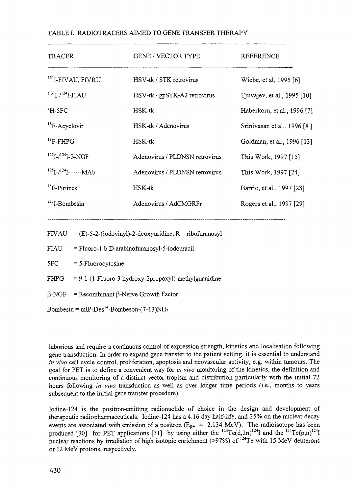| <b>TRACER</b>                                           | <b>GENE / VECTOR TYPE</b>                                 | <b>REFERENCE</b>            |
|---------------------------------------------------------|-----------------------------------------------------------|-----------------------------|
| <sup>131</sup> I-FIVAU, FIVRU                           | HSV-tk / STK retrovirus                                   | Wiebe, et al, 1995 [6]      |
| $131$ <sub>I-/</sub> $124$ <sub>I-FLAU</sub>            | HSV-tk / gpSTK-A2 retrovirus                              | Tjuvajev, et al., 1995 [10] |
| ${}^{3}H$ -5FC                                          | HSK-tk                                                    | Haberkorn, et al., 1996 [7] |
| ${}^{18}$ F-Acyclovir                                   | HSK-tk / Adenovirus                                       | Srinivasan et al., 1996 [8] |
| $18$ F-FHPG                                             | HSK-tk                                                    | Goldman, et al., 1996 [13]  |
| $125$ <sub>I</sub> - $/124$ <sub>I</sub> - $\beta$ -NGF | Adenovirus / PLDNSN retrovirus                            | This Work, 1997 [15]        |
| $125$ <sub>I-/</sub> $124$ <sub>I-</sub> ----MAb        | Adenovirus / PLDNSN retrovirus                            | This Work, 1997 [24]        |
| ${}^{18}$ F-Purines                                     | HSK-tk                                                    | Barrio, et al., 1997 [28]   |
| $125$ I-Bombesin                                        | Adenovirus / AdCMGRPr                                     | Rogers et al., 1997 [29]    |
| FIVAU                                                   | $=$ (E)-5-2-(iodovinyl)-2-deoxyuridine, R = ribofuranosyl |                             |
| FIAU                                                    | = Fluoro-1 b D-arabinofuranosyl-5-iodouracil              |                             |
| 5FC                                                     | $= 5$ -Fluorocytosine                                     |                             |
| FHPG                                                    | $= 9-1-(1-Fluoro-3-hydroxy-2propoxyl)-methylguanidine$    |                             |
| $\beta$ -NGF                                            | $=$ Recombinant $\beta$ -Nerve Growth Factor              |                             |
| Bombesin = $mIP-Des14$ -Bombeson-(7-13)NH <sub>2</sub>  |                                                           |                             |

## TABLE I. RADIOTRACERS AIMED TO GENE TRANSFER THERAPY

laborious and require a continuous control of expression strength, kinetics and localisation following gene transduction. In order to expand gene transfer to the patient setting, it is essential to understand *in vivo* cell cycle control, proliferation, apoptosis and neovascular activity, e.g. within tumours. The goal for PET is to define a convenient way for *in vivo* monitoring of the kinetics, the definition and continuous monitoring of a distinct vector tropism and distribution particularly with the initial 72 hours following *in vivo* transduction as well as over longer time periods (i.e., months to years subsequent to the initial gene transfer procedure).

Iodine-124 is the positron-emitting radionuclide of choice in the design and development of therapeutic radiopharmaceuticals. Iodine-124 has a 4.16 day half-life, and 25% on the nuclear decay events are associated with emission of a positron  $(E_{\beta+} = 2.134 \text{ MeV})$ . The radioisotope has been produced [30] for PET applications [31] by using either the  $^{124}Te(d,2n)^{124}I$  and the  $^{124}Te(p,n)^{124}I$ nuclear reactions by irradiation of high isotopic enrichment (>97%) of <sup>124</sup>Te with 15 MeV deuterons or 12 MeV protons, respectively.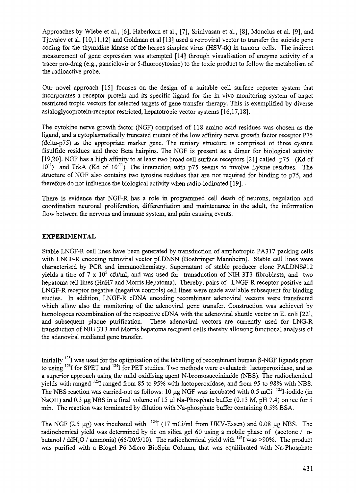Approaches by Wiebe et al., [6], Haberkorn et al., [7], Srinivasan et al., [8], Monclus et al. [9], and Tjuvajev et al. [10,11,12] and Goldman et al [13] used a retroviral vector to transfer the suicide gene coding for the thymidine kinase of the herpes simplex virus (HSV-tk) in tumour cells. The indirect measurement of gene expression was attempted [14] through visualisation of enzyme activity of a tracer pro-drug (e.g., ganciclovir or 5-fluorocytosine) to the toxic product to follow the metabolism of the radioactive probe.

Our novel approach [15] focuses on the design of a suitable cell surface reporter system that incorporates a receptor protein and its specific ligand for the in vivo monitoring system of target restricted tropic vectors for selected targets of gene transfer therapy. This is exemplified by diverse asialoglycoprotein-receptor restricted, hepatotropic vector systems [16,17,18].

The cytokine nerve growth factor (NGF) comprised of 118 amino acid residues was chosen as the ligand, and a cytoplasmatically truncated mutant of the low affinity nerve growth factor receptor P75 (delta-p75) as the appropriate marker gene. The tertiary structure is comprised of three cystine disulfide residues and three Beta hairpins. The NGF is present as a dimer for biological activity [19,20]. NGF has a high affinity to at least two broad cell surface receptors [21] called p75 (Kd of 10<sup>-9</sup>) and TrkA (Kd of 10<sup>-11</sup>). The interaction with p75 seems to involve Lysine residues. The structure of NGF also contains two tyrosine residues that are not required for binding to p75, and therefore do not influence the biological activity when radio-iodinated [19].

There is evidence that NGF-R has a role in programmed cell death of neurons, regulation and coordination neuronal proliferation, differentiation and maintenance in the adult, the information flow between the nervous and immune system, and pain causing events.

## EXPERIMENTAL

Stable LNGF-R cell lines have been generated by transduction of amphotropic PA317 packing cells with LNGF-R encoding retroviral vector pLDNSN (Boehringer Mannheim). Stable cell lines were characterised by PCR and immunochemistry. Supernatant of stable producer clone PALDNS#12 yields a titre of 7 x 10<sup>5</sup> cfu/ml, and was used for transduction of NIH 3T3 fibroblasts, and two hepatoma cell lines (HuH7 and Morris Hepatoma). Thereby, pairs of LNGF-R receptor positive and LNGF-R receptor negative (negative controls) cell lines were made available subsequent for binding studies. In addition, LNGF-R cDNA encoding recombinant adenoviral vectors were transfected which allow also the monitoring of the adenoviral gene transfer. Construction was achieved by homologous recombination of the respective cDNA with the adenoviral shuttle vector in E. coli [22], and subsequent plaque purification. These adenoviral vectors are currently used for LNG-R transduction of NIH 3T3 and Morris hepatoma recipient cells thereby allowing functional analysis of the adenoviral mediated gene transfer.

Initially  $^{125}$ I was used for the optimisation of the labelling of recombinant human  $\beta$ -NGF ligands prior to using <sup>123</sup>I for SPET and <sup>124</sup>I for PET studies. Two methods were evaluated: lactoperoxidase, and as a superior approach using the mild oxidising agent N-bromosuccinimide (NBS). The radiochemical yields with ranged I25I ranged from 85 to 95% with lactoperoxidase, and from 95 to *98%* with NBS. The NBS reaction was carried-out as follows: 10  $\mu$ g NGF was incubated with 0.5 mCi<sup>125</sup>I-iodide (in NaOH) and 0.3  $\mu$ g NBS in a final volume of 15  $\mu$ l Na-Phosphate buffer (0.13 M, pH 7.4) on ice for 5 min. The reaction was terminated by dilution with Na-phosphate buffer containing 0.5% BSA.

The NGF (2.5  $\mu$ g) was incubated with  $124$ I (17 mCi/ml from UKV-Essen) and 0.08  $\mu$ g NBS. The radiochemical yield was determined by tic on silica gel 60 using a mobile phase of (acetone / nbutanol / ddH<sub>2</sub>O / ammonia) (65/20/5/10). The radiochemical yield with  $^{124}$ I was >90%. The product was purified with a Biogel P6 Micro BioSpin Column, that was equilibrated with Na-Phosphate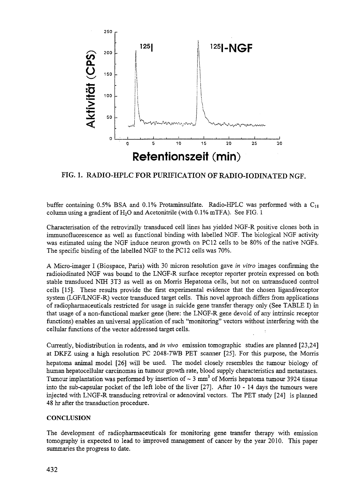

FIG. 1. RADIO-HPLC FOR PURIFICATION OF RADIO-IODINATED NGF.

buffer containing 0.5% BSA and 0.1% Protaminsulfate. Radio-HPLC was performed with a  $C_{18}$ column using a gradient of  $H_2O$  and Acetonitrile (with  $0.1\%$  mTFA). See FIG. 1

Characterisation of the retrovirally transduced cell lines has yielded NGF-R positive clones both in immunofluorescence as well as functional binding with labelled NGF. The biological NGF activity was estimated using the NGF induce neuron growth on PC 12 cells to be 80% of the native NGFs. The specific binding of the labelled NGF to the PC12 cells was 70%.

A Micro-imager I (Biospace, Paris) with 30 micron resolution gave *in vitro* images confirming the radioiodinated NGF was bound to the LNGF-R surface receptor reporter protein expressed on both stable transduced NIH 3T3 as well as on Morris Hepatoma cells, but not on untransduced control cells [15]. These results provide the first experimental evidence that the chosen ligand/receptor system (LGF/LNGF-R) vector transduced target cells. This novel approach differs from applications of radiopharmaceuticals restricted for usage in suicide gene transfer therapy only (See TABLE I) in that usage of a non-functional marker gene (here: the LNGF-R gene devoid of any intrinsic receptor functions) enables an universal application of such "monitoring" vectors without interfering with the cellular functions of the vector addressed target cells. .

Currently, biodistribution in rodents, and *in vivo* emission tomographic studies are planned [23,24] at DKFZ using a high resolution PC 2048-7WB PET scanner [25]. For this purpose, the Morris hepatoma animal model [26] will be used. The model closely resembles the tumour biology of human hepatocellular carcinomas in tumour growth rate, blood supply characteristics and metastases. Tumour implantation was performed by insertion of  $\sim$  3 mm<sup>3</sup> of Morris hepatoma tumour 3924 tissue into the sub-capsular pocket of the left lobe of the liver [27]. After 10-14 days the tumours were injected with LNGF-R transducing retroviral or adenoviral vectors. The PET study [24] is planned 48 hr after the transduction procedure.

#### **CONCLUSION**

The development of radiopharmaceuticals for monitoring gene transfer therapy with emission tomography is expected to lead to improved management of cancer by the year 2010. This paper summaries the progress to date.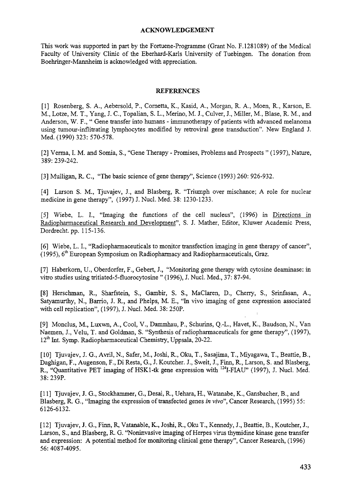#### **ACKNOWLEDGEMENT**

This work was supported in part by the Fortuene-Programme (Grant No. F.1281089) of the Medical Faculty of University Clinic of the Eberhard-Karls University of Tuebingen. The donation from Boehringer-Mannheim is acknowledged with appreciation.

#### **REFERENCES**

[I] Rosenberg, S. A., Aebersold, P., Cornetta, K.; Kasid, A., Morgan, R. A., Moen, R., Karson, E. M., Lotze, M. T., Yang, J. C, Topalian, S. L., Merino, M. J., Culver, J., Miller, M., Blase, R. M., and Anderson, W. F., " Gene transfer into humans - immunotherapy of patients with advanced melanoma using tumour-inflitrating lymphocytes modified by retroviral gene transduction". New England J. Med. (1990) 323: 570-578.

[2] Verma, I. M. and Somia, S., "Gene Therapy - Promises, Problems and Prospects " (1997), Nature, 389: 239-242.

[3] Mulligan, R. C, "The basic science of gene therapy", Science (1993) 260: 926-932.

[4] Larson S. M., Tjuvajev, J., and Blasberg, R. "Triumph over mischance; A role for nuclear medicine in gene therapy", (1997) J. Nucl. Med. 38: 1230-1233.

[5] Wiebe, L. I., "Imaging the functions of the cell nucleus", (1996) in Directions in Radiopharmaceutical Research and Development". S. J. Mather, Editor, Kluwer Academic Press, Dordrecht, pp. 115-136.

[6] Wiebe, L. I., "Radiopharmaceuticals to monitor transfection imaging in gene therapy of cancer", (1995), 6<sup>th</sup> European Symposium on Radiopharmacy and Radiopharmaceuticals, Graz.

[7] Haberkorn, U., Oberdorfer, F., Gebert, J., "Monitoring gene therapy with cytosine deaminase: in vitro studies using tritiated-5-fluorocytosine " (1996), J. Nucl. Med., 37: 87-94.

[8] Herschman, R., Sharfstein, S., Gambir, S. S., MaClaren, D., Cherry, S., Srinfasan, A., Satyamurthy, N., Barrio, J. R., and Phelps, M. E., "In vivo imaging of gene expression associated with cell replication", (1997), J. Nucl. Med. 38: 250P.

[9] Monclus, M., Luxwn, A., Cool, V., Dammhau, P., Schurins, Q.-L., Havet, K,, Baudson, N., Van Naemen, J., Velu, T. and Goldman, S. "Synthesis of radiopharmaceuticals for gene therapy", (1997), 12<sup>th</sup> Int. Symp. Radiopharmaceutical Chemistry, Uppsala, 20-22.

[10] Tjuvajev, J. G., Avril, N., Safer, M., Joshi, R., Oku, T., Sasajima, T., Miyagawa, T., Beattie, B., Daghigan, F., Augenson, F., Di Resta, G., J. Koutcher. J., Sweit, J., Finn, R., Larson, S. and Blasberg, R., "Quantitative PET imaging of HSK1-tk gene expression with <sup>124</sup>I-FIAU" (1997), J. Nucl. Med. 38: 239P.

[II] Tjuvajev, J. G., Stockhammer, G., Desai, R., Uehara, H., Watanabe, K., Gansbacher, B., and Blasberg, R. G., "Imaging the expression of transfected genes *in vivo",* Cancer Research, (1995) 55: 6126-6132.

[12] Tjuvajev, J. G., Finn, R, Vatanable, K., Joshi, R., Oku T., Kennedy, J., Beattie, B., Koutcher, J., Larson, S., and Blasberg, R. G. "Noninvasive imaging of Herpes virus thymidine kinase gene transfer and expression: A potential method for monitoring clinical gene therapy", Cancer Research, (1996) 56: 4087-4095.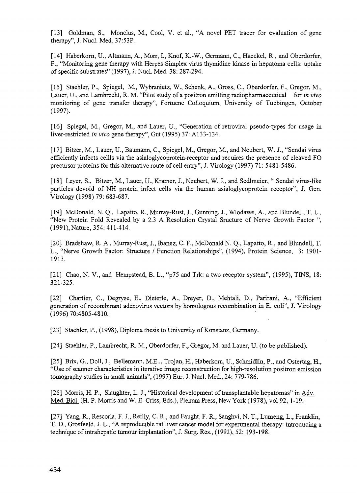[13] Goldman, S., Monclus, M., Cool, V. et al, "A novel PET tracer for evaluation of gene therapy", J. Nucl. Med. 37:53P.

[14] Haberkorn, U., Altmann, A., Morr, I, Knof, K.-W., Germann, C, Haeckel, R., and Oberdorfer, F., "Monitoring gene therapy with Herpes Simplex virus thymidine kinase in hepatoma cells: uptake of specific substrates" (1997), J. Nucl. Med. 38: 287-294.

[15] Staehler, P., Spiegel, M., Wybranietz, W., Schenk, A., Gross, C, Oberdorfer, F., Gregor, M., Lauer, U., and Lambrecht, R. M. "Pilot study of a positron emitting radiopharmaceutical for *in vivo* monitoring of gene transfer therapy", Fortuene Colloquium, University of Tuebingen, October (1997).

[16] Spiegel, M., Gregor, M., and Lauer, U., "Generation of retroviral pseudo-types for usage in liver-restricted *in vivo* gene therapy", Gut (1995) 37: A133-134.

[17] Bitzer, M., Lauer, U., Baumann, C, Spiegel, M., Gregor, M., and Neubert, W. J., "Sendai virus efficiently infects cellls via the asialoglycoprotein-receptor and requires the presence of cleaved FO precursor proteins for this alternative route of cell entry", J. Virology (1997) 71: 5481-5486.

[18] Leyer, S., Bitzer, M., Lauer, U., Kramer, J., Neubert, W. J., and Sedlmeier, " Sendai virus-like particles devoid of NH protein infect cells via the human asialoglycoprotein receptor", J. Gen. Virology (1998) 79: 683-687.

[19] McDonald, N. Q., Lapatto, R., Murray-Rust, J., Gunning, J., Wlodawe, A., and Blundell, T. L., "New Protein Fold Revealed by a 2.3 A Resolution Crystal Sructure of Nerve Growth Factor ", (1991), Nature, 354:411-414.

[20] Bradshaw, R. A., Murray-Rust, J., Ibanez, C. F., McDonald N. Q., Lapatto, R., and Blundell, T. L., "Nerve Growth Factor: Structure / Function Relationships", (1994), Protein Science, 3: 1901- 1913.

[21] Chao, N. V., and Hempstead, B. L., "p75 and Trk: a two receptor system", (1995), TINS, 18: 321-325.

[22] Chartier, C, Degryse, E., Dieterle, A., Dreyer, D., Mehtali, D., Parirani, A., "Efficient generation of recombinant adenovirus vectors by homologous recombination in E. coli", J. Virology (1996)70:4805-4810.

[23] Staehler, P., (1998), Diploma thesis to University of Konstanz, Germany.

[24] Staehler, P., Lambrecht, R. M., Oberdorfer, F., Gregor, M. and Lauer, U. (to be published).

[25] Brix, G., Doll, J., Bellemann, M.E.., Trojan, H., Haberkom, U., Schmidlin, P., and Ostertag, H., "Use of scanner characteristics in iterative image reconstruction for high-resolution positron emission tomography studies in small animals", (1997) Eur. J. Nucl. Med., 24: 779-786.

[26] Morris, H. P., Slaughter, L. J., "Historical development of transplantable hepatomas" in Adv. Med. Biol. (H. P. Morris and W. E. Criss, Eds.), Plenum Press, New York (1978), vol 92, 1-19.

[27] Yang, R., Rescorla, F. J., Reilly, C. R., and Faught, F. R., Sanghvi, N. T., Lumeng, L., Franklin, T. D., Grosfeeld, J. L., "A reproducible rat liver cancer model for experimental therapy: introducing a technique of intrahepatic tumour implantation", J. Surg. Res., (1992), 52: 193-198.